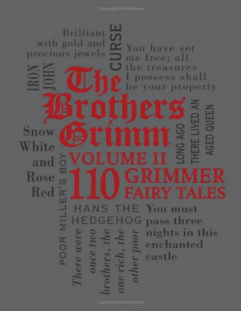